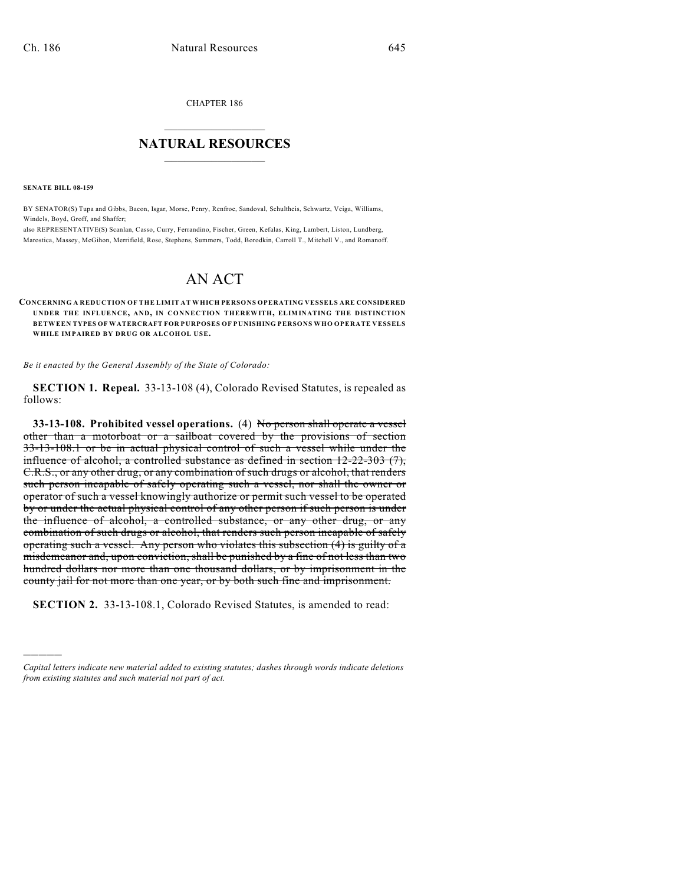CHAPTER 186

## $\overline{\phantom{a}}$  . The set of the set of the set of the set of the set of the set of the set of the set of the set of the set of the set of the set of the set of the set of the set of the set of the set of the set of the set o **NATURAL RESOURCES**  $\frac{1}{\sqrt{2}}$  , where  $\frac{1}{\sqrt{2}}$  ,  $\frac{1}{\sqrt{2}}$  ,  $\frac{1}{\sqrt{2}}$

**SENATE BILL 08-159**

)))))

BY SENATOR(S) Tupa and Gibbs, Bacon, Isgar, Morse, Penry, Renfroe, Sandoval, Schultheis, Schwartz, Veiga, Williams, Windels, Boyd, Groff, and Shaffer;

also REPRESENTATIVE(S) Scanlan, Casso, Curry, Ferrandino, Fischer, Green, Kefalas, King, Lambert, Liston, Lundberg, Marostica, Massey, McGihon, Merrifield, Rose, Stephens, Summers, Todd, Borodkin, Carroll T., Mitchell V., and Romanoff.

# AN ACT

**CONCERNING A REDUCTION OF THE LIMIT AT WHICH PERSONS OPERATING VESSELS ARE CONSIDERED UNDER THE INFLUENCE, AND, IN CONNECTION THEREWITH, ELIMINATING THE DISTINCTION BETWEEN TYPES OF WATERCRAFT FOR PURPOSES OF PUNISHING PERSONS WHO OPERATE VESSELS WHILE IMPAIRED BY DRUG OR ALCOHOL USE.**

*Be it enacted by the General Assembly of the State of Colorado:*

**SECTION 1. Repeal.** 33-13-108 (4), Colorado Revised Statutes, is repealed as follows:

**33-13-108. Prohibited vessel operations.** (4) No person shall operate a vessel other than a motorboat or a sailboat covered by the provisions of section 33-13-108.1 or be in actual physical control of such a vessel while under the influence of alcohol, a controlled substance as defined in section 12-22-303 (7), C.R.S., or any other drug, or any combination of such drugs or alcohol, that renders such person incapable of safely operating such a vessel, nor shall the owner or operator of such a vessel knowingly authorize or permit such vessel to be operated by or under the actual physical control of any other person if such person is under the influence of alcohol, a controlled substance, or any other drug, or any combination of such drugs or alcohol, that renders such person incapable of safely operating such a vessel. Any person who violates this subsection (4) is guilty of a misdemeanor and, upon conviction, shall be punished by a fine of not less than two hundred dollars nor more than one thousand dollars, or by imprisonment in the county jail for not more than one year, or by both such fine and imprisonment.

**SECTION 2.** 33-13-108.1, Colorado Revised Statutes, is amended to read:

*Capital letters indicate new material added to existing statutes; dashes through words indicate deletions from existing statutes and such material not part of act.*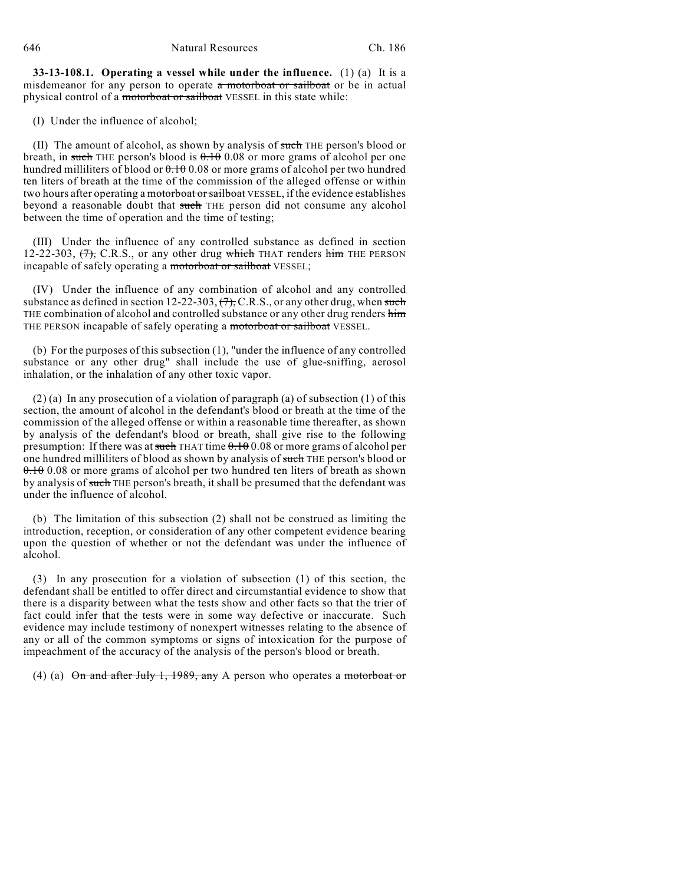**33-13-108.1. Operating a vessel while under the influence.** (1) (a) It is a misdemeanor for any person to operate a motorboat or sailboat or be in actual physical control of a motorboat or sailboat VESSEL in this state while:

(I) Under the influence of alcohol;

(II) The amount of alcohol, as shown by analysis of such THE person's blood or breath, in such THE person's blood is  $0.1000$  or more grams of alcohol per one hundred milliliters of blood or  $0.1000$  or more grams of alcohol per two hundred ten liters of breath at the time of the commission of the alleged offense or within two hours after operating a motorboat or sailboat VESSEL, if the evidence establishes beyond a reasonable doubt that such THE person did not consume any alcohol between the time of operation and the time of testing;

(III) Under the influence of any controlled substance as defined in section 12-22-303,  $(7)$ , C.R.S., or any other drug which THAT renders him THE PERSON incapable of safely operating a motorboat or sailboat VESSEL;

(IV) Under the influence of any combination of alcohol and any controlled substance as defined in section 12-22-303,  $(7)$ , C.R.S., or any other drug, when such THE combination of alcohol and controlled substance or any other drug renders him THE PERSON incapable of safely operating a motorboat or sailboat VESSEL.

(b) For the purposes of this subsection (1), "under the influence of any controlled substance or any other drug" shall include the use of glue-sniffing, aerosol inhalation, or the inhalation of any other toxic vapor.

(2) (a) In any prosecution of a violation of paragraph (a) of subsection (1) of this section, the amount of alcohol in the defendant's blood or breath at the time of the commission of the alleged offense or within a reasonable time thereafter, as shown by analysis of the defendant's blood or breath, shall give rise to the following presumption: If there was at such THAT time  $0.1000$  or more grams of alcohol per one hundred milliliters of blood as shown by analysis of such THE person's blood or 0.10 0.08 or more grams of alcohol per two hundred ten liters of breath as shown by analysis of such THE person's breath, it shall be presumed that the defendant was under the influence of alcohol.

(b) The limitation of this subsection (2) shall not be construed as limiting the introduction, reception, or consideration of any other competent evidence bearing upon the question of whether or not the defendant was under the influence of alcohol.

(3) In any prosecution for a violation of subsection (1) of this section, the defendant shall be entitled to offer direct and circumstantial evidence to show that there is a disparity between what the tests show and other facts so that the trier of fact could infer that the tests were in some way defective or inaccurate. Such evidence may include testimony of nonexpert witnesses relating to the absence of any or all of the common symptoms or signs of intoxication for the purpose of impeachment of the accuracy of the analysis of the person's blood or breath.

(4) (a)  $\Theta$ n and after July 1, 1989, any A person who operates a motorboat or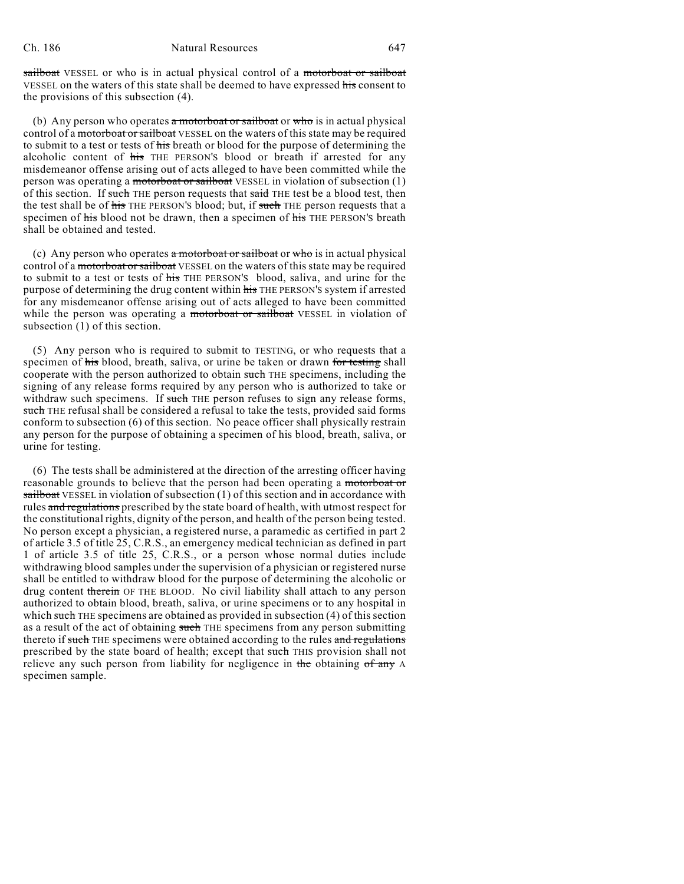sailboat VESSEL or who is in actual physical control of a motorboat or sailboat VESSEL on the waters of this state shall be deemed to have expressed his consent to the provisions of this subsection (4).

(b) Any person who operates  $\alpha$  motorboat or sailboat or who is in actual physical control of a motorboat or sailboat VESSEL on the waters of this state may be required to submit to a test or tests of his breath or blood for the purpose of determining the alcoholic content of his THE PERSON's blood or breath if arrested for any misdemeanor offense arising out of acts alleged to have been committed while the person was operating a motorboat or sailboat VESSEL in violation of subsection (1) of this section. If such THE person requests that said THE test be a blood test, then the test shall be of his THE PERSON'S blood; but, if such THE person requests that a specimen of his blood not be drawn, then a specimen of his THE PERSON's breath shall be obtained and tested.

(c) Any person who operates  $\alpha$  motorboat or sailboat or who is in actual physical control of a motorboat or sailboat VESSEL on the waters of this state may be required to submit to a test or tests of his THE PERSON'S blood, saliva, and urine for the purpose of determining the drug content within his THE PERSON'S system if arrested for any misdemeanor offense arising out of acts alleged to have been committed while the person was operating a motorboat or sailboat VESSEL in violation of subsection (1) of this section.

(5) Any person who is required to submit to TESTING, or who requests that a specimen of his blood, breath, saliva, or urine be taken or drawn for testing shall cooperate with the person authorized to obtain such THE specimens, including the signing of any release forms required by any person who is authorized to take or withdraw such specimens. If such THE person refuses to sign any release forms, such THE refusal shall be considered a refusal to take the tests, provided said forms conform to subsection (6) of this section. No peace officer shall physically restrain any person for the purpose of obtaining a specimen of his blood, breath, saliva, or urine for testing.

(6) The tests shall be administered at the direction of the arresting officer having reasonable grounds to believe that the person had been operating a motorboat or sailboat VESSEL in violation of subsection (1) of this section and in accordance with rules and regulations prescribed by the state board of health, with utmost respect for the constitutional rights, dignity of the person, and health of the person being tested. No person except a physician, a registered nurse, a paramedic as certified in part 2 of article 3.5 of title 25, C.R.S., an emergency medical technician as defined in part 1 of article 3.5 of title 25, C.R.S., or a person whose normal duties include withdrawing blood samples under the supervision of a physician or registered nurse shall be entitled to withdraw blood for the purpose of determining the alcoholic or drug content therein OF THE BLOOD. No civil liability shall attach to any person authorized to obtain blood, breath, saliva, or urine specimens or to any hospital in which such THE specimens are obtained as provided in subsection (4) of this section as a result of the act of obtaining such THE specimens from any person submitting thereto if such THE specimens were obtained according to the rules and regulations prescribed by the state board of health; except that such THIS provision shall not relieve any such person from liability for negligence in the obtaining of any A specimen sample.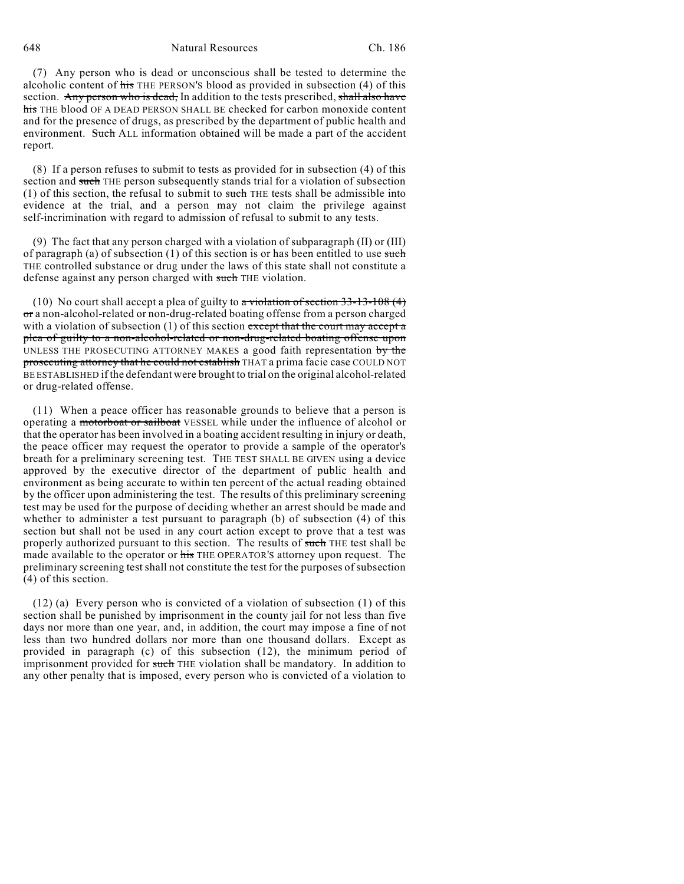### 648 Natural Resources Ch. 186

(7) Any person who is dead or unconscious shall be tested to determine the alcoholic content of his THE PERSON'S blood as provided in subsection (4) of this section. Any person who is dead, In addition to the tests prescribed, shall also have his THE blood OF A DEAD PERSON SHALL BE checked for carbon monoxide content and for the presence of drugs, as prescribed by the department of public health and environment. Such ALL information obtained will be made a part of the accident report.

(8) If a person refuses to submit to tests as provided for in subsection (4) of this section and such THE person subsequently stands trial for a violation of subsection  $(1)$  of this section, the refusal to submit to such THE tests shall be admissible into evidence at the trial, and a person may not claim the privilege against self-incrimination with regard to admission of refusal to submit to any tests.

(9) The fact that any person charged with a violation of subparagraph (II) or (III) of paragraph (a) of subsection (1) of this section is or has been entitled to use such THE controlled substance or drug under the laws of this state shall not constitute a defense against any person charged with such THE violation.

(10) No court shall accept a plea of guilty to a violation of section  $33-13-108$  (4) or a non-alcohol-related or non-drug-related boating offense from a person charged with a violation of subsection  $(1)$  of this section except that the court may accept a plea of guilty to a non-alcohol-related or non-drug-related boating offense upon UNLESS THE PROSECUTING ATTORNEY MAKES a good faith representation by the prosecuting attorney that he could not establish THAT a prima facie case COULD NOT BE ESTABLISHED if the defendant were brought to trial on the original alcohol-related or drug-related offense.

(11) When a peace officer has reasonable grounds to believe that a person is operating a motorboat or sailboat VESSEL while under the influence of alcohol or that the operator has been involved in a boating accident resulting in injury or death, the peace officer may request the operator to provide a sample of the operator's breath for a preliminary screening test. THE TEST SHALL BE GIVEN using a device approved by the executive director of the department of public health and environment as being accurate to within ten percent of the actual reading obtained by the officer upon administering the test. The results of this preliminary screening test may be used for the purpose of deciding whether an arrest should be made and whether to administer a test pursuant to paragraph (b) of subsection (4) of this section but shall not be used in any court action except to prove that a test was properly authorized pursuant to this section. The results of such THE test shall be made available to the operator or his THE OPERATOR's attorney upon request. The preliminary screening test shall not constitute the test for the purposes of subsection (4) of this section.

 $(12)$  (a) Every person who is convicted of a violation of subsection  $(1)$  of this section shall be punished by imprisonment in the county jail for not less than five days nor more than one year, and, in addition, the court may impose a fine of not less than two hundred dollars nor more than one thousand dollars. Except as provided in paragraph (c) of this subsection (12), the minimum period of imprisonment provided for such THE violation shall be mandatory. In addition to any other penalty that is imposed, every person who is convicted of a violation to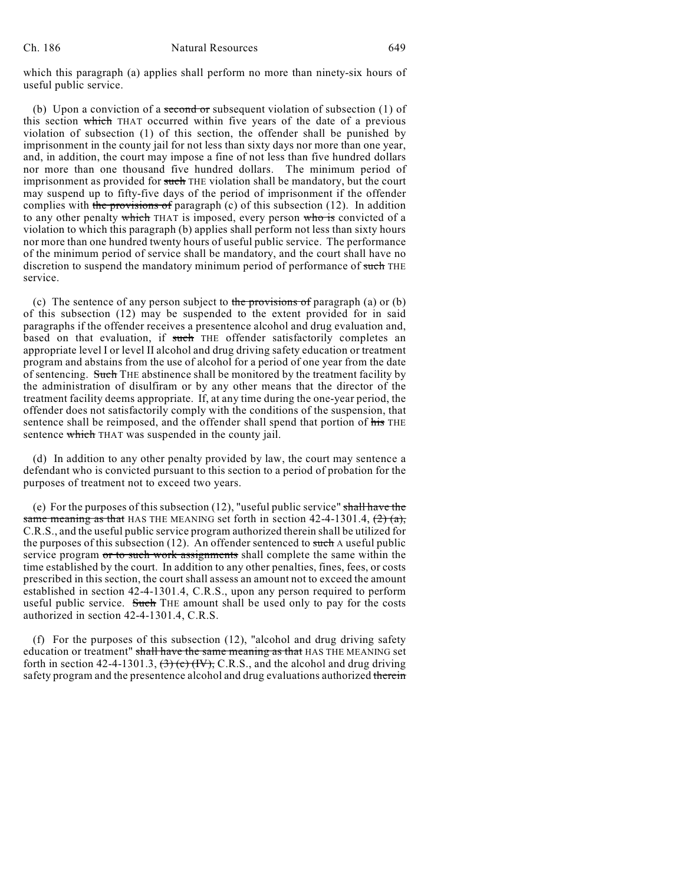#### Ch. 186 Natural Resources 649

which this paragraph (a) applies shall perform no more than ninety-six hours of useful public service.

(b) Upon a conviction of a second or subsequent violation of subsection (1) of this section which THAT occurred within five years of the date of a previous violation of subsection (1) of this section, the offender shall be punished by imprisonment in the county jail for not less than sixty days nor more than one year, and, in addition, the court may impose a fine of not less than five hundred dollars nor more than one thousand five hundred dollars. The minimum period of imprisonment as provided for such THE violation shall be mandatory, but the court may suspend up to fifty-five days of the period of imprisonment if the offender complies with the provisions of paragraph  $(c)$  of this subsection (12). In addition to any other penalty which THAT is imposed, every person who is convicted of a violation to which this paragraph (b) applies shall perform not less than sixty hours nor more than one hundred twenty hours of useful public service. The performance of the minimum period of service shall be mandatory, and the court shall have no discretion to suspend the mandatory minimum period of performance of such THE service.

(c) The sentence of any person subject to the provisions of paragraph (a) or  $(b)$ of this subsection (12) may be suspended to the extent provided for in said paragraphs if the offender receives a presentence alcohol and drug evaluation and, based on that evaluation, if such THE offender satisfactorily completes an appropriate level I or level II alcohol and drug driving safety education or treatment program and abstains from the use of alcohol for a period of one year from the date of sentencing. Such THE abstinence shall be monitored by the treatment facility by the administration of disulfiram or by any other means that the director of the treatment facility deems appropriate. If, at any time during the one-year period, the offender does not satisfactorily comply with the conditions of the suspension, that sentence shall be reimposed, and the offender shall spend that portion of his THE sentence which THAT was suspended in the county jail.

(d) In addition to any other penalty provided by law, the court may sentence a defendant who is convicted pursuant to this section to a period of probation for the purposes of treatment not to exceed two years.

(e) For the purposes of this subsection (12), "useful public service" shall have the same meaning as that HAS THE MEANING set forth in section  $42-4-1301.4$ ,  $\left(\frac{2}{2}\right)$  (a), C.R.S., and the useful public service program authorized therein shall be utilized for the purposes of this subsection  $(12)$ . An offender sentenced to such A useful public service program or to such work assignments shall complete the same within the time established by the court. In addition to any other penalties, fines, fees, or costs prescribed in this section, the court shall assess an amount not to exceed the amount established in section 42-4-1301.4, C.R.S., upon any person required to perform useful public service. Such THE amount shall be used only to pay for the costs authorized in section 42-4-1301.4, C.R.S.

(f) For the purposes of this subsection (12), "alcohol and drug driving safety education or treatment" shall have the same meaning as that HAS THE MEANING set forth in section 42-4-1301.3,  $\left(\frac{3}{2}\right)$  (c)  $\left(\frac{IV}{2}\right)$ , C.R.S., and the alcohol and drug driving safety program and the presentence alcohol and drug evaluations authorized therein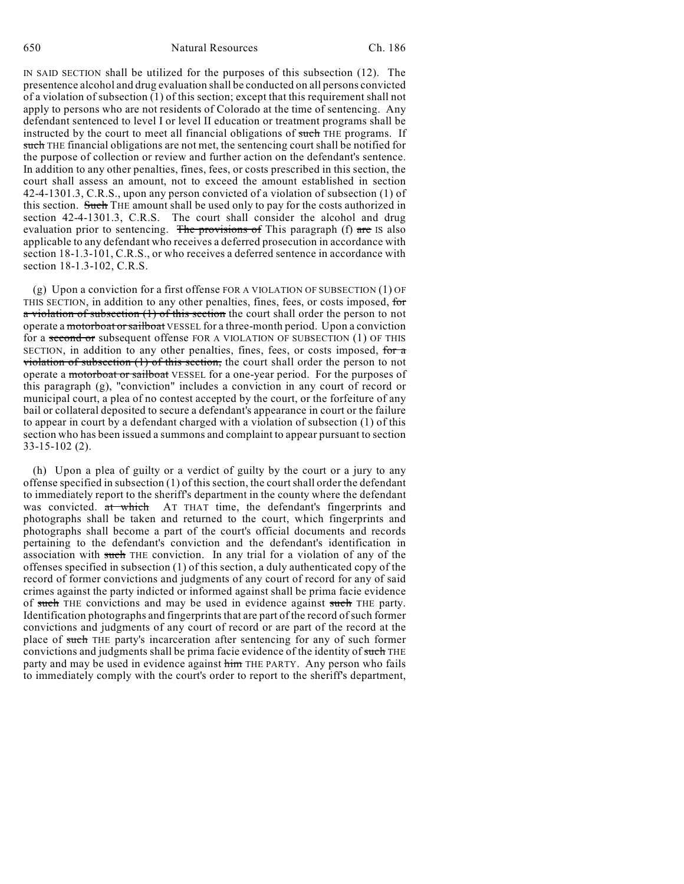IN SAID SECTION shall be utilized for the purposes of this subsection (12). The presentence alcohol and drug evaluation shall be conducted on all persons convicted of a violation of subsection (1) of this section; except that this requirement shall not apply to persons who are not residents of Colorado at the time of sentencing. Any defendant sentenced to level I or level II education or treatment programs shall be instructed by the court to meet all financial obligations of such THE programs. If such THE financial obligations are not met, the sentencing court shall be notified for the purpose of collection or review and further action on the defendant's sentence. In addition to any other penalties, fines, fees, or costs prescribed in this section, the court shall assess an amount, not to exceed the amount established in section 42-4-1301.3, C.R.S., upon any person convicted of a violation of subsection (1) of this section. Such THE amount shall be used only to pay for the costs authorized in section 42-4-1301.3, C.R.S. The court shall consider the alcohol and drug evaluation prior to sentencing. The provisions of This paragraph (f) are IS also applicable to any defendant who receives a deferred prosecution in accordance with section 18-1.3-101, C.R.S., or who receives a deferred sentence in accordance with section 18-1.3-102, C.R.S.

(g) Upon a conviction for a first offense FOR A VIOLATION OF SUBSECTION (1) OF THIS SECTION, in addition to any other penalties, fines, fees, or costs imposed, for  $\alpha$  violation of subsection (1) of this section the court shall order the person to not operate a motorboat or sailboat VESSEL for a three-month period. Upon a conviction for a second or subsequent offense FOR A VIOLATION OF SUBSECTION (1) OF THIS SECTION, in addition to any other penalties, fines, fees, or costs imposed, for  $\alpha$ violation of subsection (1) of this section, the court shall order the person to not operate a motorboat or sailboat VESSEL for a one-year period. For the purposes of this paragraph (g), "conviction" includes a conviction in any court of record or municipal court, a plea of no contest accepted by the court, or the forfeiture of any bail or collateral deposited to secure a defendant's appearance in court or the failure to appear in court by a defendant charged with a violation of subsection (1) of this section who has been issued a summons and complaint to appear pursuant to section 33-15-102 (2).

(h) Upon a plea of guilty or a verdict of guilty by the court or a jury to any offense specified in subsection (1) of this section, the court shall order the defendant to immediately report to the sheriff's department in the county where the defendant was convicted. at which AT THAT time, the defendant's fingerprints and photographs shall be taken and returned to the court, which fingerprints and photographs shall become a part of the court's official documents and records pertaining to the defendant's conviction and the defendant's identification in association with such THE conviction. In any trial for a violation of any of the offenses specified in subsection (1) of this section, a duly authenticated copy of the record of former convictions and judgments of any court of record for any of said crimes against the party indicted or informed against shall be prima facie evidence of such THE convictions and may be used in evidence against such THE party. Identification photographs and fingerprints that are part of the record of such former convictions and judgments of any court of record or are part of the record at the place of such THE party's incarceration after sentencing for any of such former convictions and judgments shall be prima facie evidence of the identity of such THE party and may be used in evidence against him THE PARTY. Any person who fails to immediately comply with the court's order to report to the sheriff's department,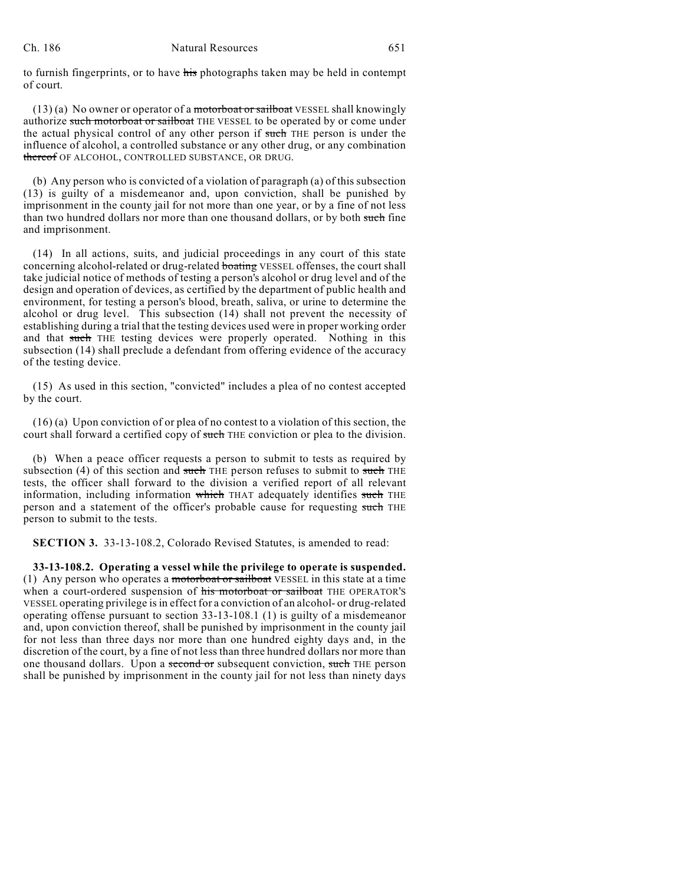#### Ch. 186 Natural Resources 651

to furnish fingerprints, or to have his photographs taken may be held in contempt of court.

 $(13)$  (a) No owner or operator of a motorboat or sailboat VESSEL shall knowingly authorize such motorboat or sailboat THE VESSEL to be operated by or come under the actual physical control of any other person if such THE person is under the influence of alcohol, a controlled substance or any other drug, or any combination thereof OF ALCOHOL, CONTROLLED SUBSTANCE, OR DRUG.

(b) Any person who is convicted of a violation of paragraph (a) of this subsection (13) is guilty of a misdemeanor and, upon conviction, shall be punished by imprisonment in the county jail for not more than one year, or by a fine of not less than two hundred dollars nor more than one thousand dollars, or by both such fine and imprisonment.

(14) In all actions, suits, and judicial proceedings in any court of this state concerning alcohol-related or drug-related boating VESSEL offenses, the court shall take judicial notice of methods of testing a person's alcohol or drug level and of the design and operation of devices, as certified by the department of public health and environment, for testing a person's blood, breath, saliva, or urine to determine the alcohol or drug level. This subsection (14) shall not prevent the necessity of establishing during a trial that the testing devices used were in proper working order and that such THE testing devices were properly operated. Nothing in this subsection (14) shall preclude a defendant from offering evidence of the accuracy of the testing device.

(15) As used in this section, "convicted" includes a plea of no contest accepted by the court.

(16) (a) Upon conviction of or plea of no contest to a violation of this section, the court shall forward a certified copy of such THE conviction or plea to the division.

(b) When a peace officer requests a person to submit to tests as required by subsection (4) of this section and such THE person refuses to submit to such THE tests, the officer shall forward to the division a verified report of all relevant information, including information which THAT adequately identifies such THE person and a statement of the officer's probable cause for requesting such THE person to submit to the tests.

**SECTION 3.** 33-13-108.2, Colorado Revised Statutes, is amended to read:

**33-13-108.2. Operating a vessel while the privilege to operate is suspended.** (1) Any person who operates a motorboat or sailboat VESSEL in this state at a time when a court-ordered suspension of his motorboat or sailboat THE OPERATOR'S VESSEL operating privilege is in effect for a conviction of an alcohol- or drug-related operating offense pursuant to section 33-13-108.1 (1) is guilty of a misdemeanor and, upon conviction thereof, shall be punished by imprisonment in the county jail for not less than three days nor more than one hundred eighty days and, in the discretion of the court, by a fine of not less than three hundred dollars nor more than one thousand dollars. Upon a second or subsequent conviction, such THE person shall be punished by imprisonment in the county jail for not less than ninety days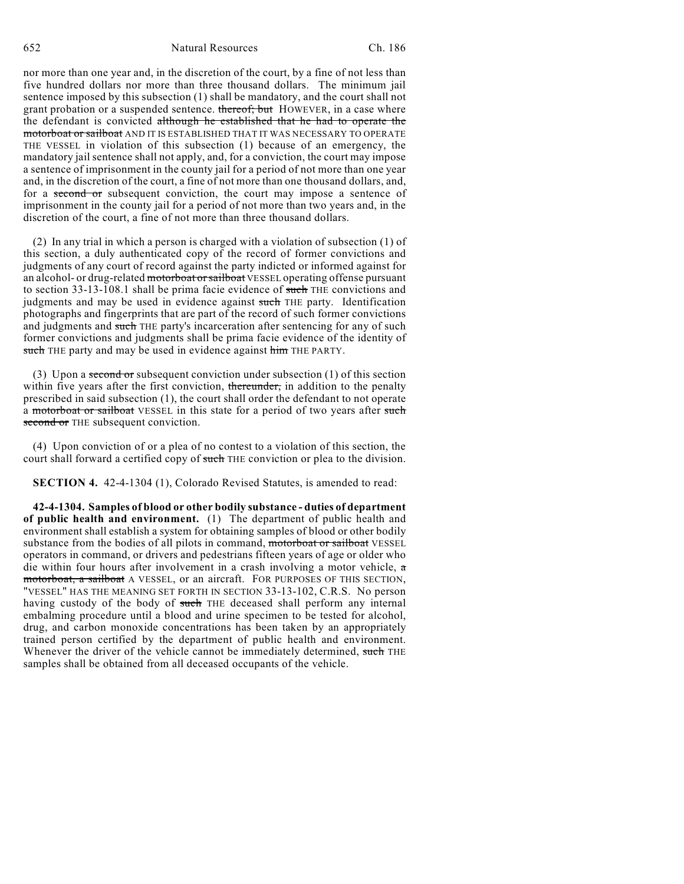nor more than one year and, in the discretion of the court, by a fine of not less than five hundred dollars nor more than three thousand dollars. The minimum jail sentence imposed by this subsection (1) shall be mandatory, and the court shall not grant probation or a suspended sentence. thereof; but HOWEVER, in a case where the defendant is convicted although he established that he had to operate the motorboat or sailboat AND IT IS ESTABLISHED THAT IT WAS NECESSARY TO OPERATE THE VESSEL in violation of this subsection (1) because of an emergency, the mandatory jail sentence shall not apply, and, for a conviction, the court may impose a sentence of imprisonment in the county jail for a period of not more than one year and, in the discretion of the court, a fine of not more than one thousand dollars, and, for a second or subsequent conviction, the court may impose a sentence of imprisonment in the county jail for a period of not more than two years and, in the discretion of the court, a fine of not more than three thousand dollars.

(2) In any trial in which a person is charged with a violation of subsection (1) of this section, a duly authenticated copy of the record of former convictions and judgments of any court of record against the party indicted or informed against for an alcohol- or drug-related motorboat or sailboat VESSEL operating offense pursuant to section 33-13-108.1 shall be prima facie evidence of such THE convictions and judgments and may be used in evidence against such THE party. Identification photographs and fingerprints that are part of the record of such former convictions and judgments and such THE party's incarceration after sentencing for any of such former convictions and judgments shall be prima facie evidence of the identity of such THE party and may be used in evidence against him THE PARTY.

(3) Upon a second or subsequent conviction under subsection  $(1)$  of this section within five years after the first conviction, thereunder, in addition to the penalty prescribed in said subsection (1), the court shall order the defendant to not operate a motorboat or sailboat VESSEL in this state for a period of two years after such second or THE subsequent conviction.

(4) Upon conviction of or a plea of no contest to a violation of this section, the court shall forward a certified copy of such THE conviction or plea to the division.

**SECTION 4.** 42-4-1304 (1), Colorado Revised Statutes, is amended to read:

**42-4-1304. Samples of blood or other bodily substance - duties of department of public health and environment.** (1) The department of public health and environment shall establish a system for obtaining samples of blood or other bodily substance from the bodies of all pilots in command, motorboat or sailboat VESSEL operators in command, or drivers and pedestrians fifteen years of age or older who die within four hours after involvement in a crash involving a motor vehicle,  $\sigma$ motorboat, a sailboat A VESSEL, or an aircraft. FOR PURPOSES OF THIS SECTION, "VESSEL" HAS THE MEANING SET FORTH IN SECTION 33-13-102, C.R.S. No person having custody of the body of such THE deceased shall perform any internal embalming procedure until a blood and urine specimen to be tested for alcohol, drug, and carbon monoxide concentrations has been taken by an appropriately trained person certified by the department of public health and environment. Whenever the driver of the vehicle cannot be immediately determined, such THE samples shall be obtained from all deceased occupants of the vehicle.